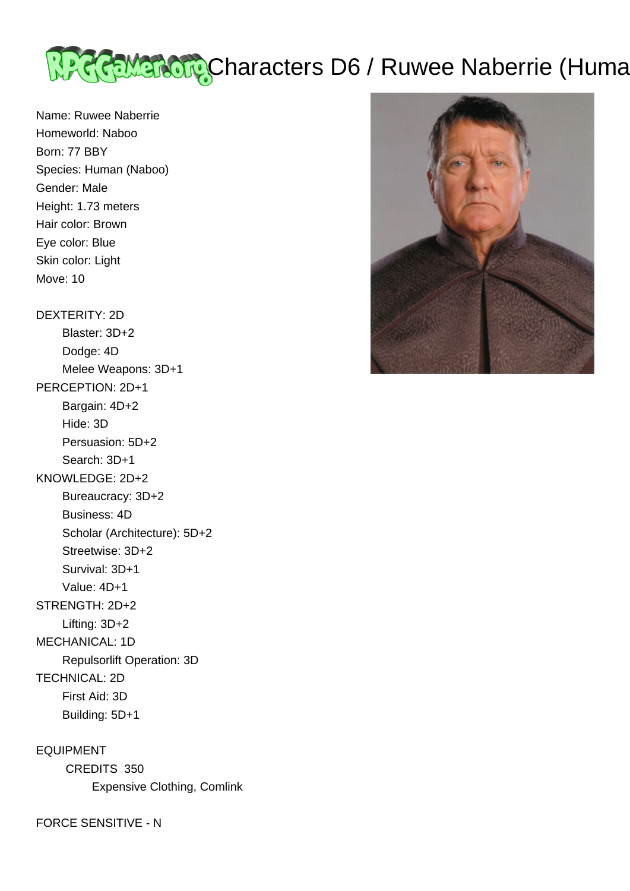

Name: Ruwee Naberrie Homeworld: Naboo Born: 77 BBY Species: Human (Naboo) Gender: Male Height: 1.73 meters Hair color: Brown Eye color: Blue Skin color: Light Move: 10

DEXTERITY: 2D Blaster: 3D+2 Dodge: 4D Melee Weapons: 3D+1 PERCEPTION: 2D+1 Bargain: 4D+2 Hide: 3D Persuasion: 5D+2 Search: 3D+1 KNOWLEDGE: 2D+2 Bureaucracy: 3D+2 Business: 4D Scholar (Architecture): 5D+2 Streetwise: 3D+2 Survival: 3D+1 Value: 4D+1 STRENGTH: 2D+2 Lifting: 3D+2 MECHANICAL: 1D Repulsorlift Operation: 3D TECHNICAL: 2D First Aid: 3D Building: 5D+1

EQUIPMENT CREDITS 350 Expensive Clothing, Comlink

FORCE SENSITIVE - N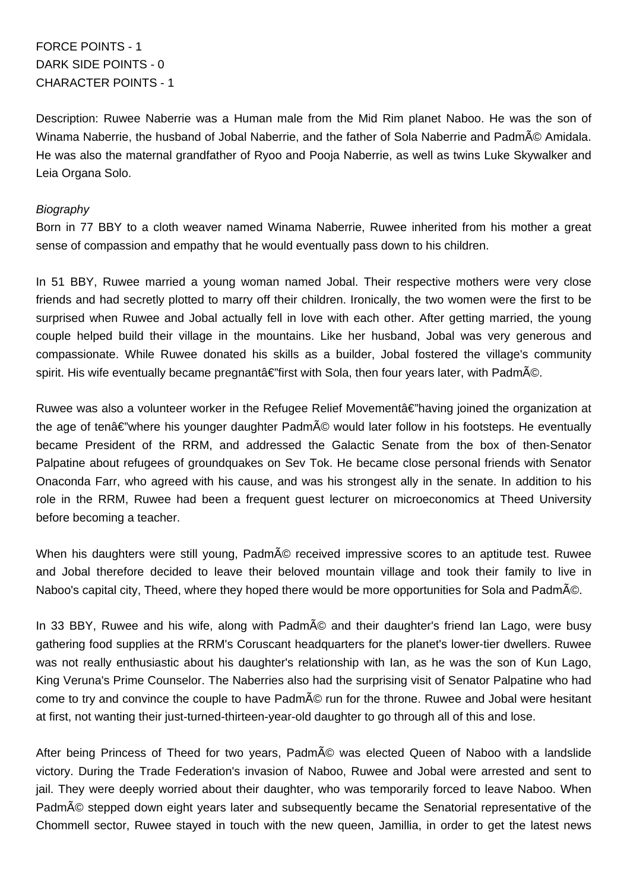FORCE POINTS - 1 DARK SIDE POINTS - 0 CHARACTER POINTS - 1

Description: Ruwee Naberrie was a Human male from the Mid Rim planet Naboo. He was the son of Winama Naberrie, the husband of Jobal Naberrie, and the father of Sola Naberrie and Padm© Amidala. He was also the maternal grandfather of Ryoo and Pooja Naberrie, as well as twins Luke Skywalker and Leia Organa Solo.

## **Biography**

Born in 77 BBY to a cloth weaver named Winama Naberrie, Ruwee inherited from his mother a great sense of compassion and empathy that he would eventually pass down to his children.

In 51 BBY, Ruwee married a young woman named Jobal. Their respective mothers were very close friends and had secretly plotted to marry off their children. Ironically, the two women were the first to be surprised when Ruwee and Jobal actually fell in love with each other. After getting married, the young couple helped build their village in the mountains. Like her husband, Jobal was very generous and compassionate. While Ruwee donated his skills as a builder, Jobal fostered the village's community spirit. His wife eventually became pregnant $\hat{a} \in \hat{f}$  first with Sola, then four years later, with Padm $\tilde{A}$ ©.

Ruwee was also a volunteer worker in the Refugee Relief Movement $a \in \mathbb{R}^n$  aving joined the organization at the age of ten $\hat{a} \in \hat{C}$  where his younger daughter Padm $\tilde{A}$  would later follow in his footsteps. He eventually became President of the RRM, and addressed the Galactic Senate from the box of then-Senator Palpatine about refugees of groundquakes on Sev Tok. He became close personal friends with Senator Onaconda Farr, who agreed with his cause, and was his strongest ally in the senate. In addition to his role in the RRM, Ruwee had been a frequent guest lecturer on microeconomics at Theed University before becoming a teacher.

When his daughters were still young, Padmé received impressive scores to an aptitude test. Ruwee and Jobal therefore decided to leave their beloved mountain village and took their family to live in Naboo's capital city, Theed, where they hoped there would be more opportunities for Sola and Padmé.

In 33 BBY, Ruwee and his wife, along with Padmé and their daughter's friend Ian Lago, were busy gathering food supplies at the RRM's Coruscant headquarters for the planet's lower-tier dwellers. Ruwee was not really enthusiastic about his daughter's relationship with Ian, as he was the son of Kun Lago, King Veruna's Prime Counselor. The Naberries also had the surprising visit of Senator Palpatine who had come to try and convince the couple to have Padm© run for the throne. Ruwee and Jobal were hesitant at first, not wanting their just-turned-thirteen-year-old daughter to go through all of this and lose.

After being Princess of Theed for two years, Padmé was elected Queen of Naboo with a landslide victory. During the Trade Federation's invasion of Naboo, Ruwee and Jobal were arrested and sent to jail. They were deeply worried about their daughter, who was temporarily forced to leave Naboo. When Padmé stepped down eight years later and subsequently became the Senatorial representative of the Chommell sector, Ruwee stayed in touch with the new queen, Jamillia, in order to get the latest news